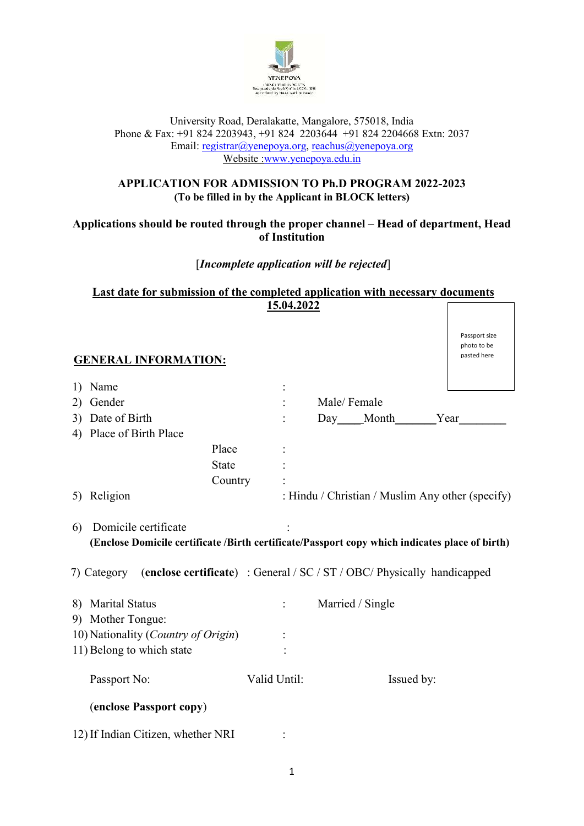

#### University Road, Deralakatte, Mangalore, 575018, India Phone & Fax: +91 824 2203943, +91 824 2203644 +91 824 2204668 Extn: 2037 Email: registrar@yenepoya.org, reachus@yenepoya.org Website :www.yenepoya.edu.in

# **APPLICATION FOR ADMISSION TO Ph.D PROGRAM 2022-2023 (To be filled in by the Applicant in BLOCK letters)**

# **Applications should be routed through the proper channel – Head of department, Head of Institution**

# [*Incomplete application will be rejected*]

| Last date for submission of the completed application with necessary documents |  |
|--------------------------------------------------------------------------------|--|
| 15.04.2022                                                                     |  |

| <b>GENERAL INFORMATION:</b>                                                                                                                                                                                         |              |                                                  | Passport size<br>photo to be<br>pasted here |
|---------------------------------------------------------------------------------------------------------------------------------------------------------------------------------------------------------------------|--------------|--------------------------------------------------|---------------------------------------------|
| Name<br>1)                                                                                                                                                                                                          |              |                                                  |                                             |
| Gender<br>2)                                                                                                                                                                                                        |              | Male/Female                                      |                                             |
| Date of Birth<br>3)                                                                                                                                                                                                 |              | Day Month Year                                   |                                             |
| Place of Birth Place<br>4)                                                                                                                                                                                          |              |                                                  |                                             |
| Place                                                                                                                                                                                                               |              |                                                  |                                             |
| <b>State</b>                                                                                                                                                                                                        |              |                                                  |                                             |
| Country                                                                                                                                                                                                             |              |                                                  |                                             |
| Religion<br>5)                                                                                                                                                                                                      |              | : Hindu / Christian / Muslim Any other (specify) |                                             |
| Domicile certificate<br>6)<br>(Enclose Domicile certificate /Birth certificate/Passport copy which indicates place of birth)<br>7) Category (enclose certificate) : General / SC / ST / OBC/ Physically handicapped |              |                                                  |                                             |
| <b>Marital Status</b><br>8)<br>9) Mother Tongue:                                                                                                                                                                    |              | Married / Single                                 |                                             |
| 10) Nationality (Country of Origin)                                                                                                                                                                                 |              |                                                  |                                             |
| 11) Belong to which state                                                                                                                                                                                           |              |                                                  |                                             |
| Passport No:                                                                                                                                                                                                        | Valid Until: | Issued by:                                       |                                             |
| (enclose Passport copy)                                                                                                                                                                                             |              |                                                  |                                             |
| 12) If Indian Citizen, whether NRI                                                                                                                                                                                  |              |                                                  |                                             |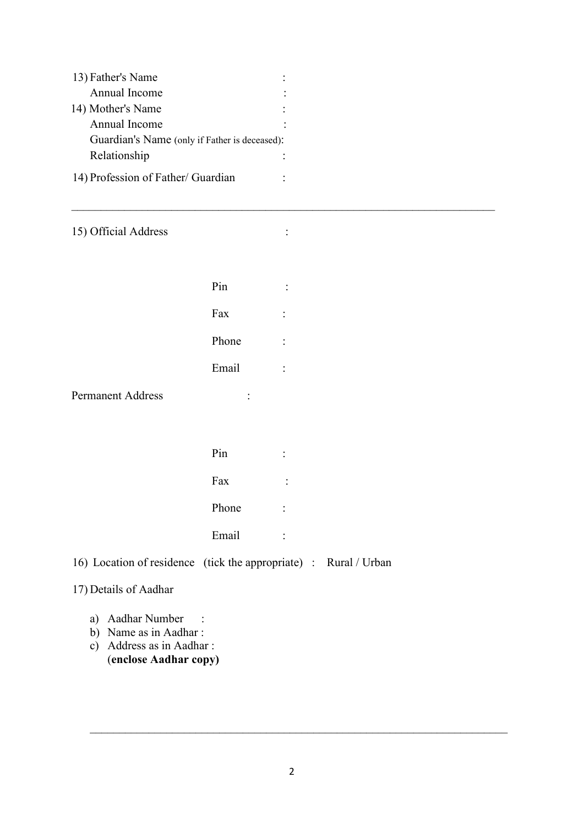| 13) Father's Name                             |  |
|-----------------------------------------------|--|
| Annual Income                                 |  |
| 14) Mother's Name                             |  |
| Annual Income                                 |  |
| Guardian's Name (only if Father is deceased): |  |
| Relationship                                  |  |
| 14) Profession of Father/ Guardian            |  |

15) Official Address :

| Pin   |  |
|-------|--|
| Fax   |  |
| Phone |  |
| Email |  |
|       |  |

 $\mathcal{L}_\text{max}$  , and the contribution of the contribution of the contribution of the contribution of the contribution of the contribution of the contribution of the contribution of the contribution of the contribution of t

Permanent Address :

| Pin   | ٠<br>٠ |
|-------|--------|
| Fax   | ٠      |
| Phone | ٠<br>٠ |
| Email |        |

16) Location of residence (tick the appropriate) : Rural / Urban

# 17) Details of Aadhar

- a) Aadhar Number :
- b) Name as in Aadhar :
- c) Address as in Aadhar : (**enclose Aadhar copy)**

 $\_$  . The contribution of the contribution of  $\mathcal{L}_1$  ,  $\mathcal{L}_2$  ,  $\mathcal{L}_3$  ,  $\mathcal{L}_4$  ,  $\mathcal{L}_5$  ,  $\mathcal{L}_6$  ,  $\mathcal{L}_7$  ,  $\mathcal{L}_8$  ,  $\mathcal{L}_9$  ,  $\mathcal{L}_1$  ,  $\mathcal{L}_2$  ,  $\mathcal{L}_3$  ,  $\mathcal{L}_5$  ,  $\mathcal{L}_6$  ,  $\mathcal{L}_$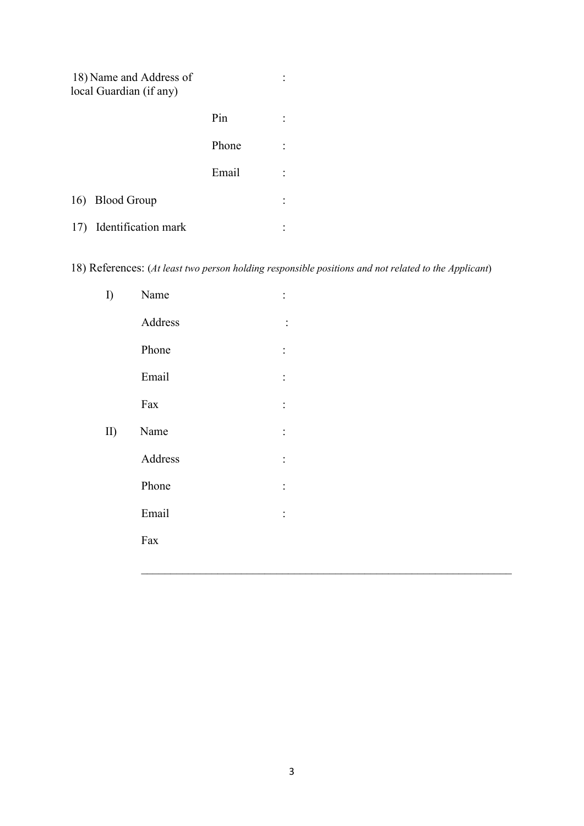|     | 18) Name and Address of<br>local Guardian (if any) |       |  |
|-----|----------------------------------------------------|-------|--|
|     |                                                    | Pin   |  |
|     |                                                    | Phone |  |
|     |                                                    | Email |  |
|     | 16) Blood Group                                    |       |  |
| 17) | Identification mark                                |       |  |

18) References: (*At least two person holding responsible positions and not related to the Applicant*)

| I           | Name    | $\ddot{\cdot}$ |
|-------------|---------|----------------|
|             | Address | $\ddot{\cdot}$ |
|             | Phone   | $\ddot{\cdot}$ |
|             | Email   | $\ddot{\cdot}$ |
|             | Fax     | $\ddot{\cdot}$ |
| $\text{II}$ | Name    | $\ddot{\cdot}$ |
|             | Address | $\ddot{\cdot}$ |
|             | Phone   | $\ddot{\cdot}$ |
|             | Email   | $\ddot{\cdot}$ |
|             | Fax     |                |
|             |         |                |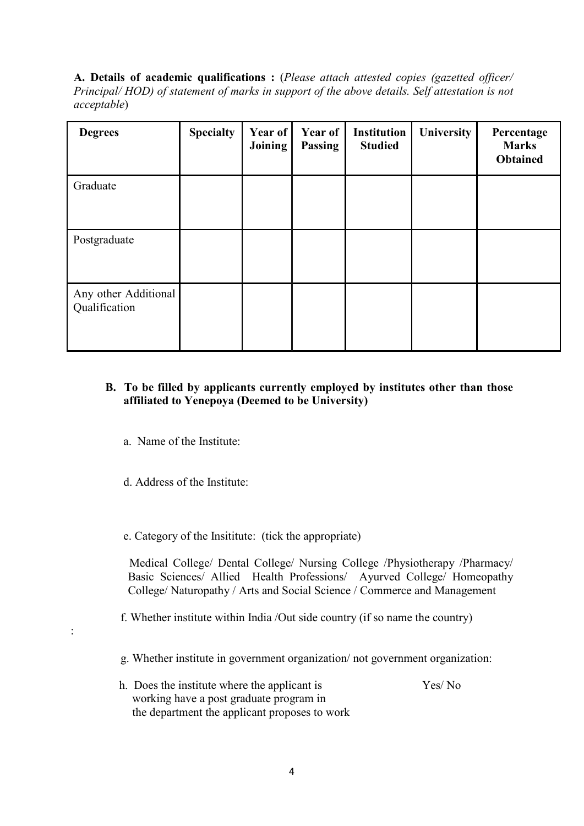**A. Details of academic qualifications :** (*Please attach attested copies (gazetted officer/ Principal/ HOD) of statement of marks in support of the above details. Self attestation is not acceptable*)

| <b>Degrees</b>                        | <b>Specialty</b> | Year of<br><b>Joining</b> | <b>Year of</b><br>Passing | <b>Institution</b><br><b>Studied</b> | University | Percentage<br><b>Marks</b><br><b>Obtained</b> |
|---------------------------------------|------------------|---------------------------|---------------------------|--------------------------------------|------------|-----------------------------------------------|
| Graduate                              |                  |                           |                           |                                      |            |                                               |
| Postgraduate                          |                  |                           |                           |                                      |            |                                               |
| Any other Additional<br>Qualification |                  |                           |                           |                                      |            |                                               |

## **B. To be filled by applicants currently employed by institutes other than those affiliated to Yenepoya (Deemed to be University)**

- a. Name of the Institute:
- d. Address of the Institute:

:

e. Category of the Insititute: (tick the appropriate)

 Medical College/ Dental College/ Nursing College /Physiotherapy /Pharmacy/ Basic Sciences/ Allied Health Professions/ Ayurved College/ Homeopathy College/ Naturopathy / Arts and Social Science / Commerce and Management

- f. Whether institute within India /Out side country (if so name the country)
- g. Whether institute in government organization/ not government organization:
- h. Does the institute where the applicant is Yes/ No working have a post graduate program in the department the applicant proposes to work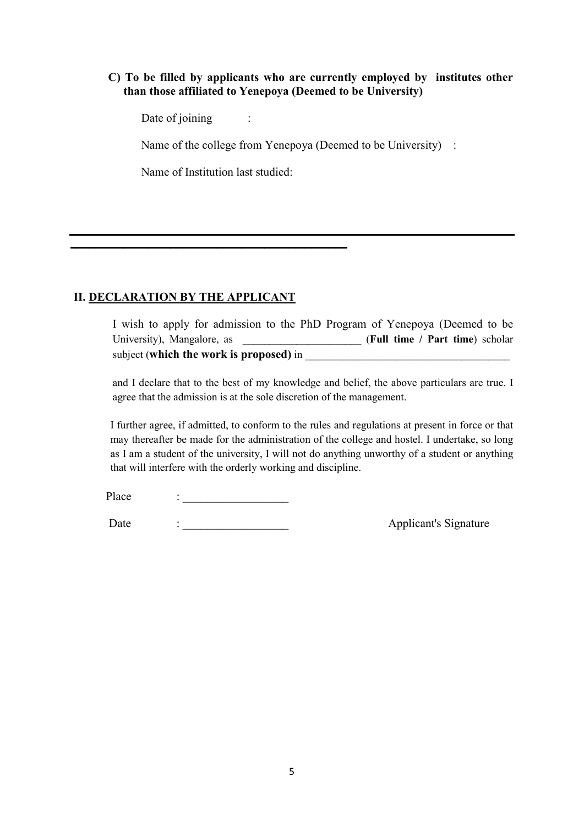### **C) To be filled by applicants who are currently employed by institutes other than those affiliated to Yenepoya (Deemed to be University)**

Date of joining :

Name of the college from Yenepoya (Deemed to be University) :

Name of Institution last studied:

\_\_\_\_\_\_\_\_\_\_\_\_\_\_\_\_\_\_\_\_\_\_\_\_\_\_\_\_\_\_\_\_\_\_\_\_\_\_\_\_\_\_\_\_\_\_\_

# **II. DECLARATION BY THE APPLICANT**

I wish to apply for admission to the PhD Program of Yenepoya (Deemed to be University), Mangalore, as *Alexander (Full time / Part time)* scholar subject (**which the work is proposed**) in

and I declare that to the best of my knowledge and belief, the above particulars are true. I agree that the admission is at the sole discretion of the management.

I further agree, if admitted, to conform to the rules and regulations at present in force or that may thereafter be made for the administration of the college and hostel. I undertake, so long as I am a student of the university, I will not do anything unworthy of a student or anything that will interfere with the orderly working and discipline.

Place :

Date : \_\_\_\_\_\_\_\_\_\_\_\_\_\_\_\_\_\_ Applicant's Signature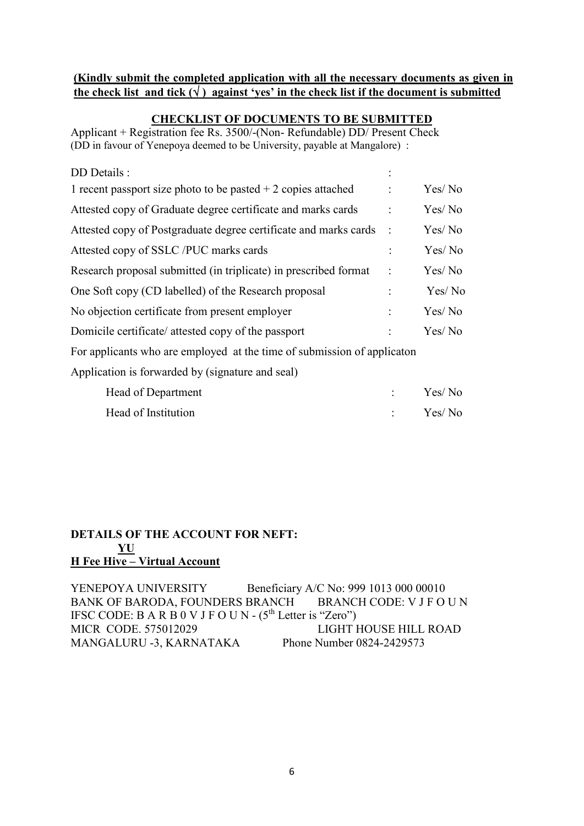#### **(Kindly submit the completed application with all the necessary documents as given in**  the check list and tick  $(\sqrt{})$  against 'ves' in the check list if the document is submitted

### **CHECKLIST OF DOCUMENTS TO BE SUBMITTED**

Applicant + Registration fee Rs. 3500/-(Non- Refundable) DD/ Present Check (DD in favour of Yenepoya deemed to be University, payable at Mangalore) :

| DD Details :                                                            |                        |        |
|-------------------------------------------------------------------------|------------------------|--------|
| 1 recent passport size photo to be pasted $+2$ copies attached          | $\ddot{\cdot}$         | Yes/No |
| Attested copy of Graduate degree certificate and marks cards            | $\ddot{\cdot}$         | Yes/No |
| Attested copy of Postgraduate degree certificate and marks cards        | $\ddot{\phantom{1}}$ : | Yes/No |
| Attested copy of SSLC /PUC marks cards                                  | $\ddot{\cdot}$         | Yes/No |
| Research proposal submitted (in triplicate) in prescribed format        | $\ddot{\cdot}$         | Yes/No |
| One Soft copy (CD labelled) of the Research proposal                    | $\ddot{\cdot}$         | Yes/No |
| No objection certificate from present employer                          | $\ddot{\cdot}$         | Yes/No |
| Domicile certificate/ attested copy of the passport                     |                        | Yes/No |
| For applicants who are employed at the time of submission of applicaton |                        |        |
| Application is forwarded by (signature and seal)                        |                        |        |
| Head of Department                                                      | $\ddot{\cdot}$         | Yes/No |
| Head of Institution                                                     |                        | Yes/No |

### **DETAILS OF THE ACCOUNT FOR NEFT: YU H Fee Hive – Virtual Account**

YENEPOYA UNIVERSITY<br>BANK OF BARODA, FOUNDERS BRANCH<br>BRANCH CODE: V J F O U N BANK OF BARODA, FOUNDERS BRANCH IFSC CODE: B A R B  $0$  V J F O U N - (5<sup>th</sup> Letter is "Zero") MICR CODE. 575012029 LIGHT HOUSE HILL ROAD MANGALURU -3, KARNATAKA Phone Number 0824-2429573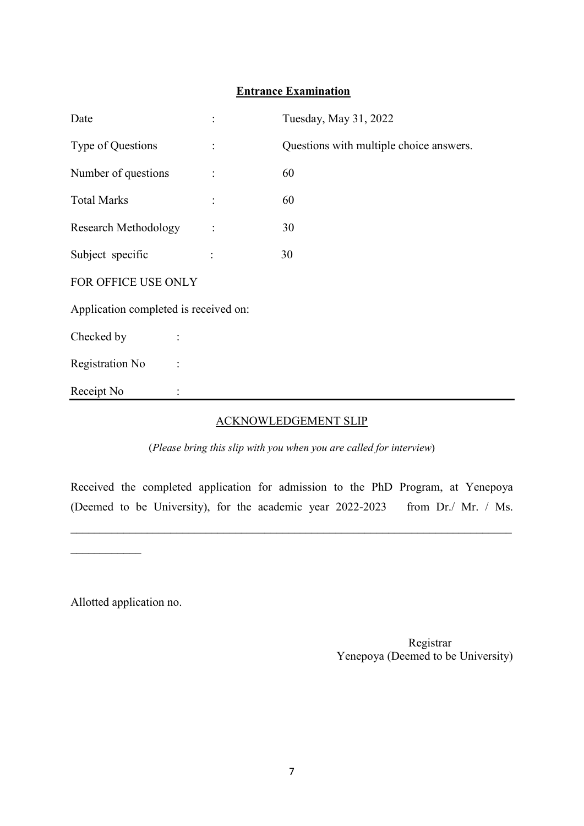### **Entrance Examination**

| Date                                  |                | Tuesday, May 31, 2022                   |  |  |
|---------------------------------------|----------------|-----------------------------------------|--|--|
| Type of Questions                     | $\ddot{\cdot}$ | Questions with multiple choice answers. |  |  |
| Number of questions                   | $\vdots$       | 60                                      |  |  |
| <b>Total Marks</b>                    |                | 60                                      |  |  |
| <b>Research Methodology</b>           |                | 30                                      |  |  |
| Subject specific                      |                | 30                                      |  |  |
| FOR OFFICE USE ONLY                   |                |                                         |  |  |
| Application completed is received on: |                |                                         |  |  |
| Checked by                            |                |                                         |  |  |
| Registration No<br>$\ddot{\cdot}$     |                |                                         |  |  |
| Receipt No                            |                |                                         |  |  |

#### ACKNOWLEDGEMENT SLIP

(*Please bring this slip with you when you are called for interview*)

Received the completed application for admission to the PhD Program, at Yenepoya (Deemed to be University), for the academic year 2022-2023 from Dr./ Mr. / Ms.

\_\_\_\_\_\_\_\_\_\_\_\_\_\_\_\_\_\_\_\_\_\_\_\_\_\_\_\_\_\_\_\_\_\_\_\_\_\_\_\_\_\_\_\_\_\_\_\_\_\_\_\_\_\_\_\_\_\_\_\_\_\_\_\_\_\_\_\_\_\_\_\_\_\_\_

 $\frac{1}{2}$  ,  $\frac{1}{2}$  ,  $\frac{1}{2}$  ,  $\frac{1}{2}$  ,  $\frac{1}{2}$  ,  $\frac{1}{2}$ 

Allotted application no.

 Registrar Yenepoya (Deemed to be University)